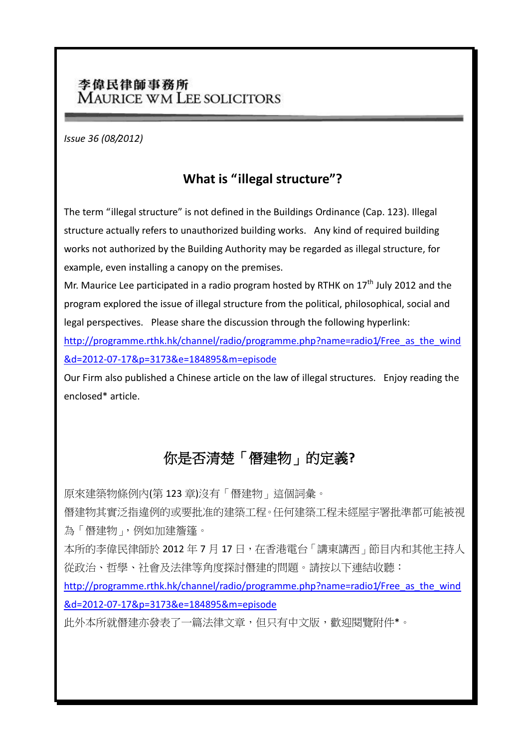### 李偉民律師事務所 **MAURICE WM LEE SOLICITORS**

*Issue 36 (08/2012)*

## **What is "illegal structure"?**

The term "illegal structure" is not defined in the Buildings Ordinance (Cap. 123). Illegal structure actually refers to unauthorized building works. Any kind of required building works not authorized by the Building Authority may be regarded as illegal structure, for example, even installing a canopy on the premises.

Mr. Maurice Lee participated in a radio program hosted by RTHK on  $17<sup>th</sup>$  July 2012 and the program explored the issue of illegal structure from the political, philosophical, social and legal perspectives. Please share the discussion through the following hyperlink: [http://programme.rthk.hk/channel/radio/programme.php?name=radio1/Free\\_as\\_the\\_wind](http://programme.rthk.hk/channel/radio/programme.php?name=radio1/Free_as_the_wind&d=2012-07-17&p=3173&e=184895&m=episode)

[&d=2012-07-17&p=3173&e=184895&m=episode](http://programme.rthk.hk/channel/radio/programme.php?name=radio1/Free_as_the_wind&d=2012-07-17&p=3173&e=184895&m=episode)

Our Firm also published a Chinese article on the law of illegal structures. Enjoy reading the enclosed\* article.

# 你是否清楚「僭建物」的定義**?**

原來建築物條例內(第 123 章)沒有「僭建物」這個詞彙。

僭建物其實泛指違例的或要批准的建築工程。任何建築工程未經屋宇署批準都可能被視 為「僭建物」,例如加建簷篷。

本所的李偉民律師於 2012 年 7 月 17 日,在香港電台「講東講西」節目内和其他主持人 從政治、哲學、社會及法律等角度探討僭建的問題。請按以下連結收聽:

[http://programme.rthk.hk/channel/radio/programme.php?name=radio1/Free\\_as\\_the\\_wind](http://programme.rthk.hk/channel/radio/programme.php?name=radio1/Free_as_the_wind&d=2012-07-17&p=3173&e=184895&m=episode) [&d=2012-07-17&p=3173&e=184895&m=episode](http://programme.rthk.hk/channel/radio/programme.php?name=radio1/Free_as_the_wind&d=2012-07-17&p=3173&e=184895&m=episode)

此外本所就僭建亦發表了一篇法律文章,但只有中文版,歡迎閱覽附件\*。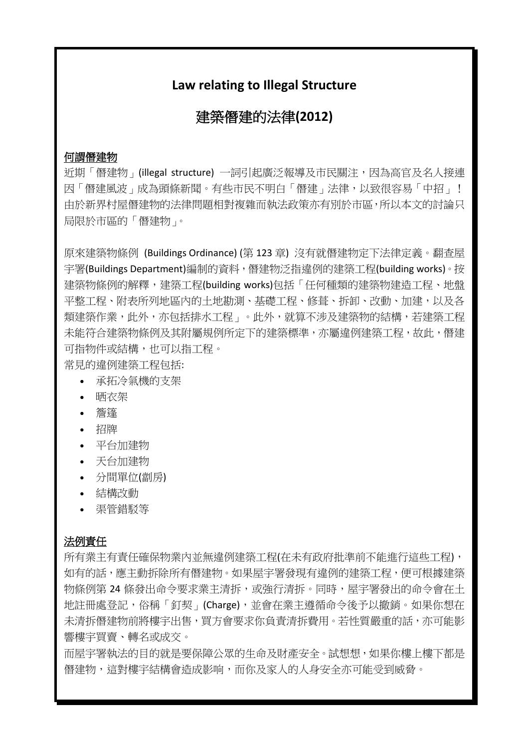### **Law relating to Illegal Structure**

# 建築僭建的法律**(2012)**

#### 何謂僭建物

近期「僭建物」(illegal structure) 一詞引起廣泛報導及市民關注,因為高官及名人接連 因「僭建風波」成為頭條新聞。有些市民不明白「僭建」法律,以致很容易「中招」! 由於新界村屋僭建物的法律問題相對複雜而執法政策亦有別於市區,所以本文的討論只 局限於市區的「僭建物」。

原來建築物條例 (Buildings Ordinance) (第 123 章) 沒有就僭建物定下法律定義。翻查屋 宇署(Buildings Department)編制的資料,僭建物泛指違例的建築工程(building works)。按 建築物條例的解釋,建築工程(building works)包括「任何種類的建築物建造工程、地盤 平整工程、附表所列地區內的土地勘測、基礎工程、修葺、拆卸、改動、加建,以及各 類建築作業,此外,亦包括排水工程」。此外,就算不涉及建築物的結構,若建築工程 未能符合建築物條例及其附屬規例所定下的建築標準,亦屬違例建築工程,故此,僭建 可指物件或結構,也可以指工程。

常見的違例建築工程包括:

- 承拓冷氣機的支架
- 晒衣架
- 簷篷
- 招牌
- 平台加建物
- 天台加建物
- 分間單位(劏房)
- 結構改動
- 渠管錯駁等

#### 法例責任

所有業主有責任確保物業內並無違例建築工程(在未有政府批準前不能進行這些工程), 如有的話,應主動拆除所有僭建物。如果屋宇署發現有違例的建築工程,便可根據建築 物條例第24條發出命令要求業主清拆,或強行清拆。同時,屋宇署發出的命令會在土 地註冊處登記,俗稱「釘契」(Charge),並會在業主遵循命令後予以撤銷。如果你想在 未清拆僭建物前將樓宇出售,買方會要求你負責清拆費用。若性質嚴重的話,亦可能影 響樓宇買賣、轉名或成交。

而屋宇署執法的目的就是要保障公眾的生命及財產安全。試想想,如果你樓上樓下都是 僭建物,這對樓宇結構會造成影响,而你及家人的人身安全亦可能受到威脅。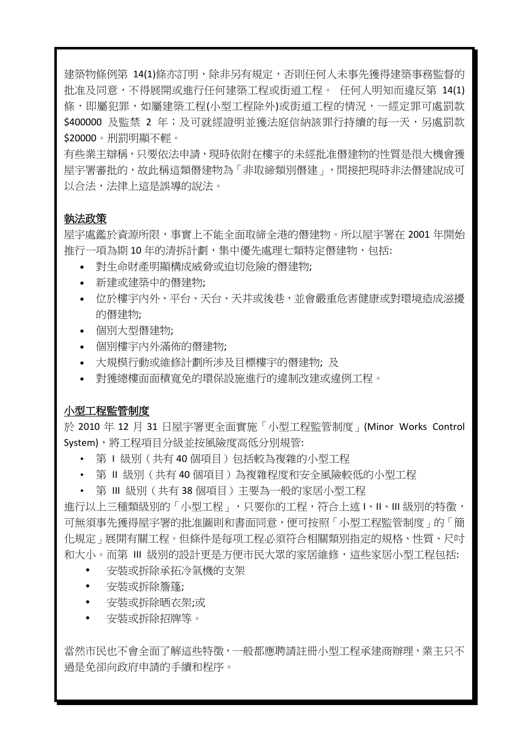建築物條例第 14(1)條亦訂明,除非另有規定,否則任何人未事先獲得建築事務監督的 批准及同意,不得展開或進行任何建築工程或街道工程。 任何人明知而違反第 14(1) 條,即屬犯罪,如屬建築工程(小型工程除外)或街道工程的情況,一經定罪可處罰款 \$400000 及監禁 2 年; 及可就經證明並獲法庭信納該罪行持續的每一天, 另處罰款 \$20000。刑罰明顯不輕。

有些業主辯稱,只要依法申請,現時依附在樓宇的未經批准僭建物的性質是很大機會獲 屋宇署審批的,故此稱這類僭建物為「非取締類別僭建」,間接把現時非法僭建說成可 以合法,法律上這是誤導的說法。

#### 執法政策

屋宇處鑑於資源所限,事實上不能全面取締全港的僭建物。所以屋宇署在 2001 年開始 推行一項為期 10 年的清拆計劃,集中優先處理七類特定僭建物,包括:

- 對生命財產明顯構成威脅或迫切危險的僭建物;
- 新建或建築中的僭建物;
- 位於樓宇內外、平台、天台、天井或後巷,並會嚴重危害健康或對環境造成滋擾 的僭建物;
- 個別大型僭建物;
- 個別樓宇內外滿佈的僭建物;
- 大規模行動或維修計劃所涉及目標樓宇的僭建物; 及
- 對獲總樓面面積寬免的環保設施進行的違制改建或違例工程。

#### 小型工程監管制度

於 2010 年 12 月 31 日屋宇署更全面實施「小型工程監管制度」(Minor Works Control System),將工程項目分級並按風險度高低分別規管:

- 第 Ⅰ 級別(共有 40 個項目)包括較為複雜的小型工程
- 第 Ⅱ 級別 (共有 40 個項目)為複雜程度和安全風險較低的小型工程
- 第Ⅲ 級別(共有 38 個項目)主要為一般的家居小型工程

進行以上三種類級別的「小型工程」,只要你的工程,符合上述 I、II、III 級別的特徵, 可無須事先獲得屋宇署的批准圖則和書面同意,便可按照「小型工程監管制度」的「簡 化規定」展開有關工程。但條件是每项工程必須符合相關類別指定的規格、性質、尺吋 和大小。而第 III 級別的設計更是方便市民大眾的家居維修,這些家居小型工程包括:

- 安裝或拆除承拓冷氣機的支架
- 安裝或拆除簷篷;
- 安裝或拆除晒衣架;或
- 安裝或拆除招牌等。

當然市民也不會全面了解這些特徵,一般都應聘請註冊小型工程承建商辦理,業主只不 過是免卻向政府申請的手續和程序。